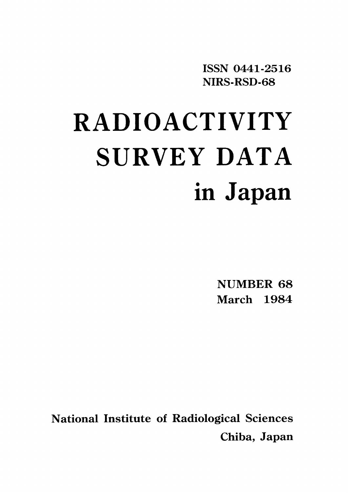ISSN 0441-2516 NIRS-RSD-68

# RADIOACTIVITY SURVEY DATA in Japan

NUMBER 68 March 1984

National Institute of Radiological Sciences Chiba, Japan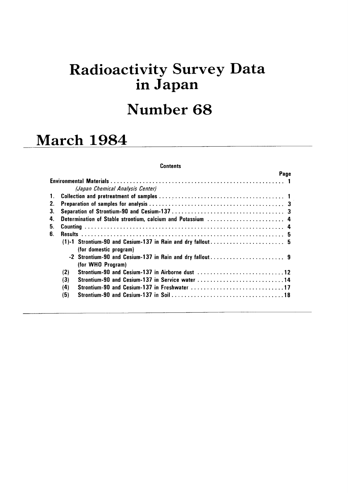# **Radioactivity Survey Data** in Japan

## Number 68

## **March 1984**

#### **Contents**

|    |     |                                                 | Page |
|----|-----|-------------------------------------------------|------|
|    |     |                                                 |      |
|    |     | (Japan Chemical Analysis Center)                |      |
| 1. |     |                                                 |      |
| 2. |     |                                                 |      |
| 3. |     |                                                 |      |
| 4. |     |                                                 |      |
| 5. |     |                                                 |      |
| 6. |     |                                                 |      |
|    |     |                                                 |      |
|    |     | (for domestic program)                          |      |
|    |     |                                                 |      |
|    |     | (for WHO Program)                               |      |
|    | (2) | Strontium-90 and Cesium-137 in Airborne dust 12 |      |
|    | (3) | Strontium-90 and Cesium-137 in Service water 14 |      |
|    | (4) | Strontium-90 and Cesium-137 in Freshwater 17    |      |
|    | (5) |                                                 |      |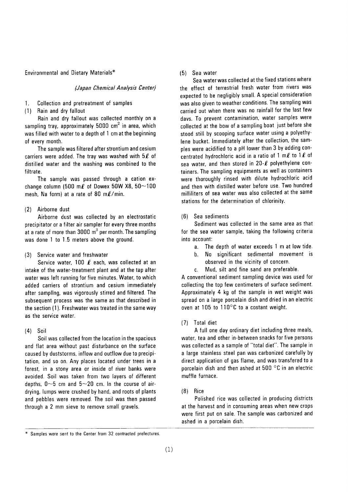Environmental and Dietary Materials\*

#### (Japan Chemical Analysis Center)

Collection and pretreatment of samples 1.

(1) Rain and dry fallout

Rain and dry fallout was collected monthly on a sampling tray, approximately 5000  $\text{cm}^2$  in area, which was filled with water to a depth of 1 cm at the beginning of every month.

The sample was filtered after strontium and cesium carriers were added. The tray was washed with  $5\ell$  of distilled water and the washing was combined to the filtrate.

The sample was passed through a cation exchange column (500 m $\ell$  of Dowex 50W X8, 50~100 mesh. Na form) at a rate of 80 m $\ell$ /min.

#### (2) Airborne dust

Airborne dust was collected by an electrostatic precipitator or a filter air sampler for every three months at a rate of more than  $3000 \text{ m}^3$  per month. The sampling was done 1 to 1.5 meters above the ground.

(3) Service water and freshwater

Service water, 100  $\ell$  each, was collected at an intake of the water-treatment plant and at the tap after water was left running for five minutes. Water, to which added carriers of strontium and cesium immediately after sampling, was vigorously stirred and filtered. The subsequent process was the same as that described in the section (1). Freshwater was treated in the same way as the service water.

#### $(4)$  Soil

Soil was collected from the location in the spacious and flat area without past disturbance on the surface caused by duststorms, inflow and outflow due to precipitation, and so on. Any places located under trees in a forest, in a stony area or inside of river banks were avoided. Soil was taken from two layers of different depths,  $0 \sim 5$  cm and  $5 \sim 20$  cm. In the course of airdrying, lumps were crushed by hand, and roots of plants and pebbles were removed. The soil was then passed through a 2 mm sieve to remove small gravels.

#### (5) Sea water

Sea water was collected at the fixed stations where the effect of terrestrial fresh water from rivers was expected to be negligibly small. A special consideration was also given to weather conditions. The sampling was carried out when there was no rainfall for the last few davs. To prevent contamination, water samples were collected at the bow of a sampling boat just before she stood still by scooping surface water using a polyethylene bucket. Immediately after the collection, the samples were acidified to a pH lower than 3 by adding concentrated hydrochloric acid in a ratio of 1 m $\ell$  to 1 $\ell$  of sea water, and then stored in  $20-\ell$  polyethylene containers. The sampling equipments as well as containers were thoroughly rinsed with dilute hydrochloric acid and then with distilled water before use. Two hundred milliliters of sea water was also collected at the same stations for the determination of chlorinity.

#### (6) Sea sediments

Sediment was collected in the same area as that for the sea water sample, taking the following criteria into account:

- The depth of water exceeds 1 m at low tide.  $a<sub>z</sub>$
- No significant sedimental movement is b. observed in the vicinity of concern.
- c. Mud, silt and fine sand are preferable.

A conventional sediment sampling device was used for collecting the top few centimeters of surface sediment. Approximately 4 kg of the sample in wet weight was spread on a large porcelain dish and dried in an electric oven at 105 to 110°C to a costant weight.

#### (7) Total diet

A full one day ordinary diet including three meals, water, tea and other in-between snacks for five persons was collected as a sample of "total diet". The sample in a large stainless steel pan was carbonized carefully by direct application of gas flame, and was transfered to a porcelain dish and then ashed at 500 °C in an electric muffle furnace.

#### $(8)$  Rice

Polished rice was collected in producing districts at the harvest and in consuming areas when new crops were first put on sale. The sample was carbonized and ashed in a porcelain dish.

Samples were sent to the Center from 32 contracted prefectures.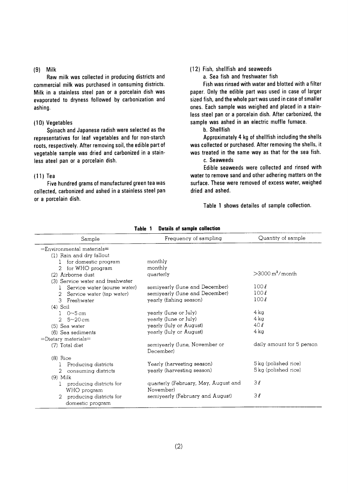#### $(9)$  Milk

Raw milk was collected in producing districts and commercial milk was purchased in consuming districts. Milk in a stainless steel pan or a porcelain dish was evaporated to dryness followed by carbonization and ashing.

#### (10) Vegetables

Spinach and Japanese radish were selected as the representatives for leaf vegetables and for non-starch roots, respectively. After removing soil, the edible part of vegetable sample was dried and carbonized in a stainless ateel pan or a porcelain dish.

#### $(11)$  Tea

Five hundred grams of manufactured green tea was collected, carbonized and ashed in a stainless steel pan or a porcelain dish.

#### (12) Fish, shellfish and seaweeds

a. Sea fish and freshwater fish

Fish was rinsed with water and blotted with a filter paper. Only the edible part was used in case of larger sized fish, and the whole part was used in case of smaller ones. Each sample was weighed and placed in a stainless steel pan or a porcelain dish. After carbonized, the sample was ashed in an electric muffle furnace.

b. Shellfish

Approximately 4 kg of shellfish including the shells was collected or purchased. After removing the shells, it was treated in the same way as that for the sea fish. c. Seaweeds

Edible seaweeds were collected and rinsed with water to remove sand and other adhering matters on the surface. These were removed of excess water, weighed dried and ashed.

Table 1 shows detailes of sample collection.

| Sample                                      | Frequency of sampling                             | Quantity of sample             |
|---------------------------------------------|---------------------------------------------------|--------------------------------|
| $=$ Environmental materials $=$             |                                                   |                                |
| (1) Rain and dry fallout                    |                                                   |                                |
| for domestic program<br>$\pm$               | monthly                                           |                                |
| for WHO program<br>$\overline{2}$           | monthly                                           |                                |
| (2) Airborne dust                           | quarterly                                         | $>$ 3000 m <sup>3</sup> /month |
| (3) Service water and freshwater            |                                                   |                                |
| Service water (sourse water)<br>Ŧ           | semiyearly (June and December)                    | 100l                           |
| Service water (tap water)<br>$\mathcal{L}$  | semiyearly (June and December)                    | 100l                           |
| 3 Freshwater                                | yearly (fishing season)                           | 100l                           |
| $(4)$ Soil                                  |                                                   |                                |
| $1 \, 0 - 5$ cm                             | yearly (June or July)                             | 4 kg                           |
| 2 $5 - 20$ cm                               | yearly (June or July)                             | 4 kg                           |
| (5) Sea water                               | yearly (July or August)                           | 40l                            |
| (6) Sea sediments                           | yearly (July or August)                           | 4 ka                           |
| $=$ Dietary materials $=$                   |                                                   |                                |
| (7) Total diet                              | semiyearly (June, November or<br>December)        | daily amount for 5 person      |
| $(8)$ Rice                                  |                                                   |                                |
| Producing districts                         | Yearly (harvesting season)                        | 5 kg (polished rice)           |
| 2<br>consuming districts                    | yearly (harvesting season)                        | 5 kg (polished rice)           |
| $(9)$ Milk                                  |                                                   |                                |
| producing districts for                     | quarterly (February, May, August and<br>November) | 3l                             |
| WHO program                                 | semiyearly (February and August)                  | $3\ell$                        |
| producing districts for<br>domestic program |                                                   |                                |

Table 1 Details of sample collection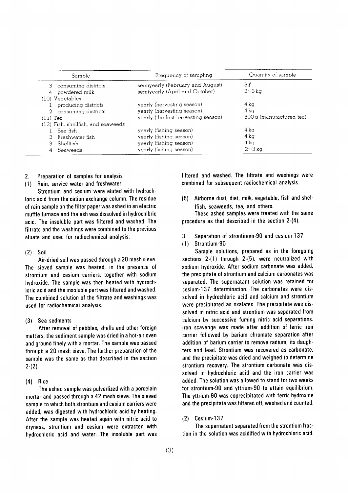| Sample                             | Frequency of sampling                | Quantity of sample       |
|------------------------------------|--------------------------------------|--------------------------|
| 3 consuming districts              | semiyearly (February and August)     | 3 l                      |
| powdered milk<br>$4\overline{ }$   | semiyearly (April and October)       | $2\neg 3\,\text{k}$ a    |
| (10) Vegetables                    |                                      |                          |
| producing districts                | yearly (hervesting season)           | 4 ka                     |
| 2 consuming districts              | yearly (harvesting season)           | $4\,\mathrm{k}$ a        |
| $(11)$ Tea                         | yearly (the first harvesting season) | 500 g (manufactured tea) |
| (12) Fish, shellfish, and seaweeds |                                      |                          |
| Sea fish                           | yearly (fishing season)              | 4 ka                     |
| 2 Freshwater fish                  | yearly (fishing season)              | 4 ka                     |
| Shellfish                          | yearly (fishing season)              | 4 ka                     |
| Seaweeds                           | yearly (fishing season)              | $2\sim3$ kg              |

- Preparation of samples for analysis  $2.$
- Rain, service water and freshwater  $(1)$

Strontium and cesium were eluted with hydrochloric acid from the cation exchange column. The residue of rain sample on the filter paper was ashed in an electric muffle furnace and the ash was dissolved in hydrochibric acid. The insoluble part was filtered and washed. The filtrate and the washings were combined to the previous eluate and used for radiochemical analysis.

#### $(2)$  Soil

Air-dried soil was passed through a 20 mesh sieve. The sieved sample was heated, in the presence of strontium and cesium carriers, together with sodium hydroxide. The sample was then heated with hydrochloric acid and the insoluble part was filtered and washed. The combined solution of the filtrate and washings was used for radiochemical analysis.

#### $(3)$ Sea sedments

After removal of pebbles, shells and other foreign matters, the sediment sample was dried in a hot-air oven and ground finely with a mortar. The sample was passed through a 20 mesh sieve. The further preparation of the sample was the same as that described in the section  $2-(2)$ .

 $(4)$ Rice

The ashed sample was pulverlized with a porcelain mortar and passed through a 42 mesh sieve. The sieved sample to which both strontium and cesium carriers were added, was digested with hydrochloric acid by heating. After the sample was heated again with nitric acid to dryness, strontium and cesium were extracted with hydrochloric acid and water. The insoluble part was filtered and washed. The filtrate and washings were combined for subsequent radiochemical analysis.

Airborne dust, diet, milk, vegetable, fish and shel- $(5)$ Ifish, seaweeds, tea, and others.

These ashed samples were treated with the same procedure as that described in the section 2-(4).

- Separation of strontiunm-90 and cesium-137  $3.$
- Strontium-90  $(1)$

Sample solutions, prepared as in the foregoing sections 2-(1) through 2-(5), were neutralized with sodium hydroxide. After sodium carbonate was added, the precipitate of strontium and calcium carbonates was separated. The supernatant solution was retained for cesium-137 determination. The carbonates were dissolved in hydrochloric acid and calcium and strontium were precipitated as oxalates. The precipitate was dissolved in nitric acid and strontium was separated from calcium by successive fuming nitric acid separations. from scavenge was made after addition of ferric iron carrier followed by barium chromate separation after addition of barium carrier to remove radium, its daughters and lead. Strontium was recovered as carbonate, and the precipitate was dried and weighed to determine strontium recovery. The strontium carbonate was dissolved in hydrochloric acid and the iron carrier was added. The solution was allowed to stand for two weeks for strontium-90 and yttrium-90 to attain equilibrium. The yttrium-90 was coprecipitated with ferric hydroxide and the precipitate was filtered off, washed and counted.

#### Cesium-137  $(2)$

The supernatant separated from the strontium fraction in the solution was acidified with hydrochloric acid.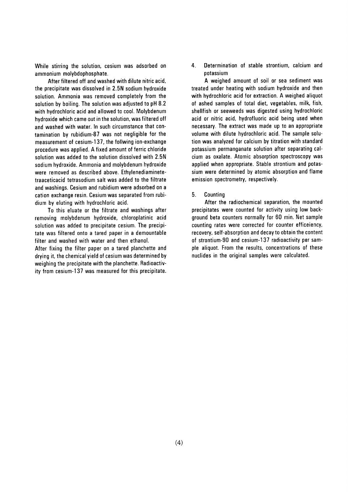While stirring the solution, cesium was adsorbed on ammonium molybdophosphate.

After filtered off and washed with dilute nitric acid, the precipitate was dissolved in 2.5N sodium hydroxide solution. Ammonia was removed completely from the solution by boiling. The solution was adjusted to pH 8.2 with hydrochloric acid and allowed to cool. Molybdenum hydroxide which came out in the solution, was filtered off and washed with water. In such circumstance that contamination by rubidium-87 was not negligible for the measurement of cesium-137, the follwing ion-exchange procedure was applied. A fixed amount of ferric chloride solution was added to the solution dissolved with 2.5N sodium hydroxide. Ammonia and molybdenum hydroxide were removed as described above. Ethylenediaminetetraaceticacid tetrasodium salt was added to the filtrate and washings. Cesium and rubidium were adsorbed on a cation exchange resin. Cesium was separated from rubidium by eluting with hydrochloric acid.

To this eluate or the filtrate and washings after removing molybdenum hydroxide, chloroplatinic acid solution was added to precipitate cesium. The precipitate was filtered onto a tared paper in a demountable filter and washed with water and then ethanol. After fixing the filter paper on a tared planchette and drying it, the chemical yield of cesium was determined by weighing the precipitate with the planchette. Radioactiv-

ity from cesium-137 was measured for this precipitate.

4. Determination of stable strontium, calcium and potassium

A weighed amount of soil or sea sediment was treated under heating with sodium hydroxide and then with hydrochloric acid for extraction. A weighed aliquot of ashed samples of total diet, vegetables, milk, fish, shellfish or seeweeds was digested using hydrochloric acid or nitric acid, hydrofluoric acid being used when necessary. The extract was made up to an appropriate volume with dilute hydrochloric acid. The sample solution was analyzed for calcium by titration with standard potassium permanganate solution after separating calcium as oxalate. Atomic absorption spectroscopy was applied when appropriate. Stable strontium and potassium were determined by atomic absorption and flame emission spectrometry, respectively.

5. Counting

After the radiochemical separation, the mounted precipitates were counted for activity using low background beta counters normally for 60 min. Net sample counting rates were corrected for counter efficeiency, recovery, self-absorption and decay to obtain the content of strontium-90 and cesium-137 radioactivity per sample aliquot. From the results, concentrations of these nuclides in the original samples were calculated.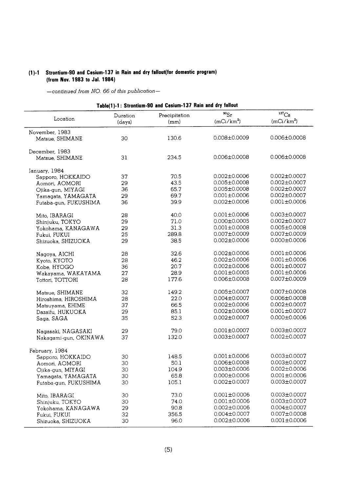## (1)-1 Strontium-90 and Cesium-137 in Rain and dry fallout(for domestic program) (from Nov. 1983 to Jal. 1984)

| Table(1)-1: Strontium-90 and Cesium-137 Rain and dry fallout |                    |                       |                           |                       |  |
|--------------------------------------------------------------|--------------------|-----------------------|---------------------------|-----------------------|--|
| Location                                                     | Duration<br>(days) | Precipitation<br>(mm) | $^{90}Sr$<br>$(mCi/km^2)$ | 137Cs<br>$(mCi/km^2)$ |  |
| November, 1983                                               |                    |                       |                           |                       |  |
| Matsue, SHIMANE                                              | 30                 | 130.6                 | 0.008±0.0009              | $0.006 \pm 0.0008$    |  |
| December, 1983                                               |                    |                       |                           |                       |  |
| Matsue, SHIMANE                                              | 31                 | 234.5                 | $0.006 \pm 0.0008$        | $0.006 \pm 0.0008$    |  |
| January, 1984                                                |                    |                       |                           |                       |  |
| Sapporo, HOKKAIDO                                            | 37                 | 70.5                  | $0.002 \pm 0.0006$        | $0.002 \pm 0.0007$    |  |
| Aomori, AOMORI                                               | 29                 | 43.5                  | $0.005 \pm 0.0008$        | $0.002 \pm 0.0007$    |  |
| Ojika-gun, MIYAGI                                            | 36                 | 65.7                  | $0.005 \pm 0.0008$        | $0.002 \pm 0.0007$    |  |
| Yamagata, YAMAGATA                                           | 29                 | 69.7                  | $0.001 \pm 0.0006$        | $0.002 \pm 0.0007$    |  |
| Futaba-gun, FUKUSHIMA                                        | 36                 | 39.9                  | $0.002 \pm 0.0006$        | $0.001 \pm 0.0006$    |  |
| Mito, IBARAGI                                                | 28                 | 40.0                  | $0.001 \pm 0.0006$        | $0.003 \pm 0.0007$    |  |
| Shinjuku, TOKYO                                              | 29                 | 71.0                  | $0.000 \pm 0.0005$        | $0.002 \pm 0.0007$    |  |
| Yokohama, KANAGAWA                                           | 29                 | 31.3                  | $0.001 \pm 0.0008$        | $0.005 \pm 0.0008$    |  |
| Fukui, FUKUI                                                 | 25                 | 289.8                 | $0.007 + 0.0009$          | $0.007 \pm 0.0009$    |  |
| Shizuoka, SHIZUOKA                                           | 29                 | 38.5                  | $0.002 \pm 0.0006$        | $0.000 \pm 0.0006$    |  |
| Nagoya, AICHI                                                | 28                 | 32.6                  | $0.002 \pm 0.0006$        | $0.001 + 0.0006$      |  |
| Kyoto, KYOTO                                                 | 28                 | 46.2                  | $0.002 \pm 0.0006$        | $0.001 \pm 0.0006$    |  |
| Kobe, HYOGO                                                  | 36                 | 20.7                  | $0.002 \pm 0.0006$        | $0.001 \pm 0.0007$    |  |
| Wakayama, WAKAYAMA                                           | 27                 | 28.9                  | $0.001 \pm 0.0005$        | $0.001 \pm 0.0006$    |  |
| Tottori, TOTTORI                                             | 28                 | 177.6                 | $0.006 \pm 0.0008$        | $0.007 \pm 0.0009$    |  |
| Matsue, SHIMANE                                              | 32                 | 149.2                 | $0.005 \pm 0.0007$        | $0.007 \pm 0.0008$    |  |
| Hiroshima, HIROSHIMA                                         | 28                 | 22.0                  | $0.004 \pm 0.0007$        | $0.006 \pm 0.0008$    |  |
| Matsuyama, EHIME                                             | 37                 | 66.5                  | $0.002 \pm 0.0006$        | $0.002 \pm 0.0007$    |  |
| Dazaifu, HUKUOKA                                             | 29                 | 85.1                  | $0.002 \pm 0.0006$        | $0.001 \pm 0.0007$    |  |
| Saga, SAGA                                                   | 35                 | 52.3                  | $0.002 \pm 0.0007$        | $0.000 \pm 0.0006$    |  |
| Nagasaki, NAGASAKI                                           | 29                 | 79.0                  | $0.001 \pm 0.0007$        | $0.003 \pm 0.0007$    |  |
| Nakagami-gun, OKINAWA                                        | 37                 | 132.0                 | $0.003 \pm 0.0007$        | $0.002 \pm 0.0007$    |  |
| February, 1984                                               |                    |                       |                           |                       |  |
| Sapporo, HOKKAIDO                                            | 30                 | 148.5                 | $0.001 \pm 0.0006$        | $0.003 + 0.0007$      |  |
| Aomori, AOMORI                                               | 30                 | 50.1                  | $0.006 \pm 0.0008$        | $0.003 \pm 0.0007$    |  |
| Ojika-gun, MIYAGI                                            | 30                 | 104.9                 | $0.003 \pm 0.0006$        | $0.002 \pm 0.0006$    |  |
| Yamagata, YAMAGATA                                           | 30                 | 65.8                  | $0.000 \pm 0.0006$        | $0.001 \pm 0.0006$    |  |
|                                                              | 30                 | 105.1                 | $0.002 \pm 0.0007$        | $0.003 \pm 0.0007$    |  |
| Futaba-gun, FUKUSHIMA                                        |                    |                       |                           |                       |  |
| Mito, IBARAGI                                                | 30                 | 73.0                  | $0.001 \pm 0.0006$        | $0.003 \pm 0.0007$    |  |
| Shinjuku, TOKYO                                              | 30                 | 74.0                  | $0.001 \pm 0.0006$        | $0.003 \pm 0.0007$    |  |
| Yokohama, KANAGAWA                                           | 29                 | 90.8                  | $0.002 \pm 0.0006$        | $0.004 \pm 0.0007$    |  |
| Fukui, FUKUI                                                 | 32                 | 356.5                 | $0.004 \pm 0.0007$        | $0.007 \pm 0.0008$    |  |
| Shizuoka, SHIZUOKA                                           | 30                 | 96.0                  | $0.002 \pm 0.0006$        | $0.001 + 0.0006$      |  |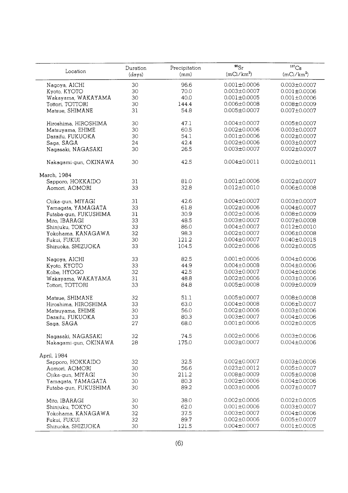|                                    | Duration | Precipitation | $^{90}Sr$          | $^{137}\mathrm{Cs}$ |
|------------------------------------|----------|---------------|--------------------|---------------------|
| Location                           | (days)   | (mm)          | $(mCi/km^2)$       | $(mCi/km^2)$        |
| Nagoya, AICHI                      | 30       | 96.6          | $0.001 \pm 0.0006$ | $0.003 \pm 0.0007$  |
| Kyoto, KYOTO                       | 30       | 70.0          | $0.003 \pm 0.0007$ | $0.001 \pm 0.0006$  |
| Wakayama, WAKAYAMA                 | 30       | 40.0          | $0.001 \pm 0.0005$ | $0.001 \pm 0.0006$  |
| Tottori, TOTTORI                   | 30       | 144.4         | $0.006 \pm 0.0008$ | $0.008 \pm 0.0009$  |
| Matsue, SHIMANE                    | 31       | 54.8          | $0.005 \pm 0.0007$ | $0.007 \pm 0.0007$  |
| Hiroshima, HIROSHIMA               | 30       | 47.1          | $0.004 \pm 0.0007$ | $0.005 \pm 0.0007$  |
| Matsuyama, EHIME                   | 30       | 60.5          | $0.002 \pm 0.0006$ | $0.003 \pm 0.0007$  |
| Dazaifu, FUKUOKA                   | 30       | 54.1          | $0.001 \pm 0.0006$ | $0.002 \pm 0.0007$  |
|                                    |          | 42.4          | $0.002 \pm 0.0006$ |                     |
| Saga, SAGA                         | 24       |               |                    | $0.003 \pm 0.0007$  |
| Nagasaki, NAGASAKI                 | 30       | 26.5          | $0.003 \pm 0.0007$ | $0.002 \pm 0.0007$  |
| Nakagami-gun, OKINAWA              | 30       | 42.5          | $0.004 \pm 0.0011$ | $0.002 \pm 0.0011$  |
| March, 1984                        |          |               |                    |                     |
| Sapporo, HOKKAIDO                  | 31       | 81.0          | $0.001 \pm 0.0006$ | $0.002 \pm 0.0007$  |
| Aomori, AOMORI                     | 33       | 32.8          | $0.012 \pm 0.0010$ | $0.006 \pm 0.0008$  |
| Ojika-gun, MIYAGI                  | 31       | 42.6          | $0.004 \pm 0.0007$ | $0.003 \pm 0.0007$  |
| Yamagata, YAMAGATA                 | 33       | 61.8          | $0.002 \pm 0.0006$ | $0.004 \pm 0.0007$  |
| Futaba-gun, FUKUSHIMA              | 31       | 30.9          | $0.002 \pm 0.0006$ | $0.008 \pm 0.0009$  |
| Mito, IBARAGI                      | 33       | 48.5          | $0.003 \pm 0.0007$ | $0.007 \pm 0.0008$  |
| Shinjuku, TOKYO                    | 33       | 86.0          | $0.004 \pm 0.0007$ | $0.012 \pm 0.0010$  |
| Yokohama, KANAGAWA                 | 32       | 98.3          | $0.002 \pm 0.0007$ | $0.006 \pm 0.0008$  |
| Fukui, FUKUI                       | 30       | 121.2         | $0.004 \pm 0.0007$ | $0.040 \pm 0.0015$  |
| Shizuoka, SHIZUOKA                 | 33       | 104.5         | $0.002 \pm 0.0006$ | $0.002 \pm 0.0005$  |
|                                    |          |               | $0.001 \pm 0.0006$ |                     |
| Nagoya, AICHI                      | 33       | 82.5          | $0.004 \pm 0.0008$ | $0.004 \pm 0.0006$  |
| Kyoto, KYOTO                       | 33       | 44.9          |                    | $0.004 \pm 0.0006$  |
| Kobe, HYOGO                        | 32       | 42.5          | $0.003 \pm 0.0007$ | $0.004 \pm 0.0006$  |
| Wakayama, WAKAYAMA                 | 31       | 48.8          | $0.002 \pm 0.0006$ | $0.003 \pm 0.0006$  |
| Tottori, TOTTORI                   | 33       | 84.8          | $0.005 \pm 0.0008$ | 0.009±0.0009        |
| Matsue, SHIMANE                    | 32       | 51.1          | $0.005 \pm 0.0007$ | $0.008 \pm 0.0008$  |
| Hiroshima, HIROSHIMA               | 33       | 63.0          | $0.004 \pm 0.0008$ | $0.006 \pm 0.0007$  |
| Matsuyama, EHIME                   | 30       | 56.0          | $0.002 \pm 0.0006$ | $0.003 \pm 0.0006$  |
| Dazaifu, FUKUOKA                   | 33       | 80.3          | $0.003 \pm 0.0007$ | $0.004 \pm 0.0006$  |
| Saga, SAGA                         | 27       | 68.0          | $0.001 \pm 0.0006$ | $0.002 \pm 0.0005$  |
| Nagasaki, NAGASAKI                 | 32       | 74.5          | $0.002 \pm 0.0006$ | $0.003 \pm 0.0006$  |
| Nakagami-gun, OKINAWA              | 28       | 175.0         | $0.003 \pm 0.0007$ | $0.004 \pm 0.0006$  |
| April, 1984                        |          |               |                    |                     |
| Sapporo, HOKKAIDO                  | 32       | 32.5          | $0.002 \pm 0.0007$ | $0.003 \pm 0.0006$  |
| Aomori, AOMORI                     | 30       | 56.6          | $0.023 \pm 0.0012$ | $0.005 \pm 0.0007$  |
| Ojika-gun, MIYAGI                  | 30       | 211.2         | $0.008 \pm 0.0009$ | $0.005 \pm 0.0008$  |
| Yamagata, YAMAGATA                 | 30       | 80.3          | $0.002 \pm 0.0006$ | $0.004 \pm 0.0006$  |
| Futaba-gun, FUKUSHIMA              | 30       | 89.2          | $0.003 \pm 0.0006$ | $0.007 \pm 0.0007$  |
| Mito, IBARAGI                      | 30       | 38.0          | $0.002 \pm 0.0006$ | $0.002 \pm 0.0005$  |
| Shinjuku, TOKYO                    | 30       | 62.0          | $0.001 \pm 0.0006$ | $0.003 \pm 0.0007$  |
|                                    | 32       | 37.5          | $0.003 \pm 0.0007$ | $0.004 \pm 0.0006$  |
| Yokohama, KANAGAWA<br>Fukui, FUKUI | 32       | 89.7          | $0.002 \pm 0.0006$ | $0.005 \pm 0.0007$  |
| Shizuoka, SHIZUOKA                 | 30       | 121.5         | $0.004 \pm 0.0007$ | $0.001 \pm 0.0005$  |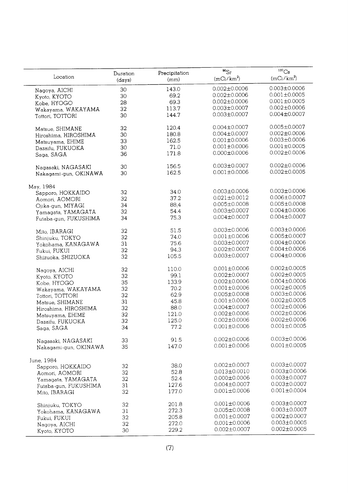|                       |                    |                       | $^{90}Sr$          | 137C <sub>S</sub>  |
|-----------------------|--------------------|-----------------------|--------------------|--------------------|
| Location              | Duration<br>(days) | Precipitation<br>(mm) | $(mCi/km^2)$       | $(mCi/km^2)$       |
| Nagoya, AICHI         | 30                 | 143.0                 | $0.002 \pm 0.0006$ | $0.003 \pm 0.0006$ |
| Kyoto, KYOTO          | 30                 | 69.2                  | $0.002 \pm 0.0006$ | $0.001 \pm 0.0005$ |
| Kobe, HYOGO           | 28                 | 69.3                  | $0.002 \pm 0.0006$ | $0.001 \pm 0.0005$ |
| Wakayama, WAKAYAMA    | 32                 | 113.7                 | $0.003 \pm 0.0007$ | $0.002 \pm 0.0006$ |
| Tottori, TOTTORI      | 30                 | 144.7                 | $0.003 \pm 0.0007$ | $0.004 \pm 0.0007$ |
|                       |                    |                       |                    |                    |
| Matsue, SHIMANE       | 32                 | 120.4                 | $0.004 \pm 0.0007$ | $0.005 \pm 0.0007$ |
| Hiroshima, HIROSHIMA  | 30                 | 180.8                 | $0.004 \pm 0.0007$ | $0.002 \pm 0.0006$ |
| Matsuyama, EHIME      | 33                 | 162.5                 | $0.001 \pm 0.0006$ | $0.003 \pm 0.0006$ |
| Dazaifu, FUKUOKA      | 30                 | 71.0                  | $0.001 \pm 0.0006$ | $0.001 \pm 0.0005$ |
| Saga, SAGA            | 36                 | 171.8                 | $0.000 \pm 0.0006$ | $0.002 \pm 0.0006$ |
| Nagasaki, NAGASAKI    | 30                 | 156.5                 | $0.003 \pm 0.0007$ | $0.002 \pm 0.0006$ |
| Nakagami-gun, OKINAWA | 30                 | 162.5                 | $0.001 \pm 0.0006$ | $0.002 \pm 0.0005$ |
| May, 1984             |                    |                       |                    |                    |
| Sapporo, HOKKAIDO     | 32                 | 34.0                  | $0.003 \pm 0.0006$ | $0.003 \pm 0.0006$ |
| Aomori, AOMORI        | 32                 | 37.2                  | $0.021 \pm 0.0012$ | $0.006 \pm 0.0007$ |
| Ojika-gun, MIYAGI     | 34                 | 88,4                  | $0.005 \pm 0.0008$ | $0.005 \pm 0.0008$ |
| Yamagata, YAMAGATA    | 32                 | 54.4                  | $0.003 \pm 0.0007$ | $0.004 \pm 0.0006$ |
| Futaba-gun, FUKUSHIMA | 34                 | 75.3                  | $0.004 \pm 0.0007$ | $0.004 \pm 0.0007$ |
|                       |                    |                       |                    |                    |
| Mito, IBARAGI         | 32                 | 51.5                  | $0.003 \pm 0.0006$ | $0.003 \pm 0.0006$ |
| Shinjuku, TOKYO       | 32                 | 74.0                  | $0.001 \pm 0.0006$ | $0.005 \pm 0.0007$ |
| Yokohama, KANAGAWA    | 31                 | 75.6                  | $0.003 \pm 0.0007$ | $0.004 \pm 0.0006$ |
| Fukui, FUKUI          | 32                 | 94.3                  | $0.002 \pm 0.0007$ | $0.004 \pm 0.0006$ |
| Shizuoka, SHIZUOKA    | 32 <sup>2</sup>    | 105.5                 | $0.003 \pm 0.0007$ | $0.004 \pm 0.0006$ |
| Nagoya, AICHI         | 32                 | 110.0                 | $0.001 \pm 0.0006$ | $0.002 \pm 0.0005$ |
| Kyoto, KYOTO          | 32                 | 99.1                  | $0.002 \pm 0.0007$ | $0.002 \pm 0.0005$ |
| Kobe, HYOGO           | 35                 | 133.9                 | $0.002 \pm 0.0006$ | $0.004 \pm 0.0006$ |
| Wakayama, WAKAYAMA    | 32                 | 70.2                  | $0.001 \pm 0.0006$ | $0.002 \pm 0.0005$ |
| Tottori, TOTTORI      | 32                 | 62.9                  | $0.005 \pm 0.0008$ | $0.003 \pm 0.0006$ |
| Matsue, SHIMANE       | 31                 | 45.8                  | $0.001 \pm 0.0006$ | $0.002 \pm 0.0005$ |
| Hiroshima, HIROSHIMA  | 32                 | 88.0                  | $0.004 \pm 0.0007$ | $0.002 \pm 0.0006$ |
| Matsuyama, EHIME      | 32                 | 121.0                 | $0.002 \pm 0.0006$ | $0.002 \pm 0.0006$ |
| Dazaifu, FUKUOKA      | 32                 | 125.0                 | $0.002 \pm 0.0006$ | $0.002 \pm 0.0006$ |
| Saga, SAGA            | 34                 | 77.2                  | $0.001 \pm 0.0006$ | $0.001 \pm 0.0005$ |
|                       |                    |                       |                    |                    |
| Nagasaki, NAGASAKI    | 33                 | 91.5                  | $0.002 \pm 0.0006$ | $0.003 \pm 0.0006$ |
| Nakagami-gun, OKINAWA | 35                 | 147.0                 | $0.001 \pm 0.0006$ | $0.001 \pm 0.0005$ |
| June, 1984            |                    |                       |                    |                    |
| Sapporo, HOKKAIDO     | 32                 | 38.0                  | $0.002 \pm 0.0007$ | $0.003 \pm 0.0007$ |
| Aomori, AOMORI        | 32                 | 52.8                  | $0.013 \pm 0.0010$ | $0.003 \pm 0.0006$ |
| Yamagata, YAMAGATA    | 32                 | 52.4                  | $0.000 \pm 0.0006$ | $0.003 \pm 0.0007$ |
| Futaba-gun, FUKUSHIMA | 31                 | 127.6                 | $0.004 \pm 0.0007$ | $0.003 \pm 0.0007$ |
| Mito, IBARAGI         | 32                 | 177.0                 | $0.001 \pm 0.0006$ | $0.001 \pm 0.0004$ |
| Shinjuku, TOKYO       | 32                 | 201.8                 | $0.001 \pm 0.0006$ | $0.003 \pm 0.0007$ |
| Yokohama, KANAGAWA    | 31                 | 272.3                 | $0.005 \pm 0.0008$ | $0.003 \pm 0.0007$ |
|                       | 32                 | 205.8                 | $0.001 \pm 0.0007$ | $0.002 \pm 0.0007$ |
| Fukui, FUKUI          |                    | 272.0                 | $0.001 \pm 0.0006$ | $0.003 \pm 0.0005$ |
| Nagoya, AICHI         | 32                 |                       | $0.002 \pm 0.0007$ | $0.002 \pm 0.0005$ |
| Kyoto, KYOTO          | 30                 | 229.2                 |                    |                    |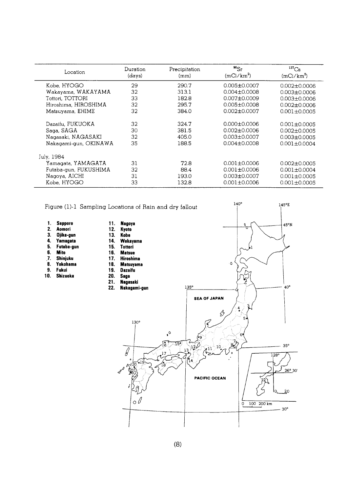| Location              | Duration<br>(days) | Precipitation<br>(mm) | $^{90}$ Sr<br>(mCi/km <sup>2</sup> ) | $137$ Cs<br>$(mCi/km^2)$ |
|-----------------------|--------------------|-----------------------|--------------------------------------|--------------------------|
| Kobe, HYOGO           | 29                 | 290.7                 | $0.005 \pm 0.0007$                   | $0.002 + 0.0006$         |
| Wakayama, WAKAYAMA    | 32                 | 313.1                 | $0.004 \pm 0.0008$                   | $0.003 \pm 0.0006$       |
| Tottori, TOTTORI      | 33                 | 182.8                 | $0.007 + 0.0009$                     | $0.003 \pm 0.0006$       |
| Hiroshima, HIROSHIMA  | 32                 | 295.7                 | $0.005 \pm 0.0008$                   | $0.002 \pm 0.0006$       |
| Matsuyama, EHIME      | 32                 | 384.0                 | $0.002 \pm 0.0007$                   | $0.001 + 0.0005$         |
| Dazaifu, FUKUOKA      | 32                 | 324.7                 | $0.000 \pm 0.0006$                   | $0.001 + 0.0005$         |
| Saga, SAGA            | 30                 | 381.5                 | $0.002 + 0.0006$                     | $0.002 + 0.0005$         |
| Nagasaki, NAGASAKI    | 32                 | 405.0                 | $0.003 + 0.0007$                     | $0.003 \pm 0.0005$       |
| Nakagami-gun, OKINAWA | 35                 | 188.5                 | $0.004 + 0.0008$                     | $0.001 \pm 0.0004$       |
| July, 1984            |                    |                       |                                      |                          |
| Yamaqata, YAMAGATA    | 31                 | 72.8                  | $0.001 \pm 0.0006$                   | $0.002 \pm 0.0005$       |
| Futaba-gun, FUKUSHIMA | 32                 | 88.4                  | $0.001 \pm 0.0006$                   | $0.001 \pm 0.0004$       |
| Nagoya, AICHI         | 31                 | 193.0                 | $0.003 \pm 0.0007$                   | $0.001 + 0.0005$         |
| Kobe, HYOGO           | 33                 | 132.8                 | $0.001 + 0.0006$                     | $0.001 + 0.0005$         |

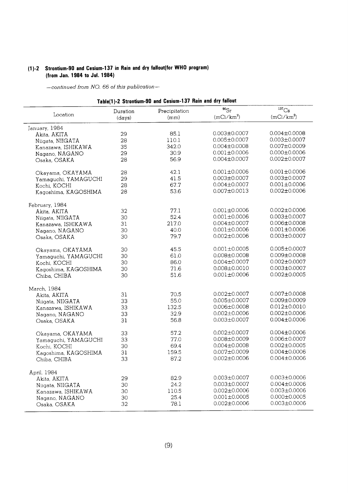## (1)-2 Strontium-90 and Cesium-137 in Rain and dry fallout(for WHO program) (from Jan. 1984 to Jul. 1984)

| Table(1)-2 Strontium-90 and Cesium-137 Rain and dry fallout |                    |                       |                           |                                   |  |
|-------------------------------------------------------------|--------------------|-----------------------|---------------------------|-----------------------------------|--|
| Location                                                    | Duration<br>(days) | Precipitation<br>(mm) | $^{90}Sr$<br>$(mCi/km^2)$ | 137C <sub>S</sub><br>$(mCi/km^2)$ |  |
| January, 1984                                               |                    |                       |                           |                                   |  |
| Akita, AKITA                                                | 29                 | 85.1                  | $0.003 \pm 0.0007$        | $0.004 \pm 0.0008$                |  |
| Niigata, NIIGATA                                            | 28                 | 110.1                 | $0.005 \pm 0.0007$        | $0.003 \pm 0.0007$                |  |
| Kanazawa, ISHIKAWA                                          | 35                 | 342.0                 | $0.004 \pm 0.0008$        | $0.007 \pm 0.0009$                |  |
| Nagano, NAGANO                                              | 29                 | 30.9                  | $0.001 \pm 0.0006$        | $0.000 \pm 0.0006$                |  |
| Osaka, OSAKA                                                | 28                 | 56.9                  | $0.004 \pm 0.0007$        | $0.002 \pm 0.0007$                |  |
| Okayama, OKAYAMA                                            | 28                 | 42.1                  | $0.001 \pm 0.0006$        | $0.001 \pm 0.0006$                |  |
| Yamaguchi, YAMAGUCHI                                        | 29                 | 41.5                  | $0.003 \pm 0.0007$        | $0.003 \pm 0.0007$                |  |
| Kochi, KOCHI                                                | 28                 | 67.7                  | $0.004 \pm 0.0007$        | $0.001 \pm 0.0006$                |  |
| Kagoshima, KAGOSHIMA                                        | 28                 | 53.6                  | $0.007 \pm 0.0013$        | $0.002 \pm 0.0006$                |  |
| February, 1984                                              |                    |                       |                           |                                   |  |
| Akita, AKITA                                                | 32                 | 77.1                  | $0.001 \pm 0.0006$        | $0.002 \pm 0.0006$                |  |
| Niigata, NIIGATA                                            | 30                 | 52.4                  | $0.001 \pm 0.0006$        | $0.003 \pm 0.0007$                |  |
| Kanazawa, ISHIKAWA                                          | 31                 | 217.0                 | $0.004 \pm 0.0007$        | $0.006 \pm 0.0008$                |  |
| Nagano, NAGANO                                              | 30                 | 40.0                  | $0.001 \pm 0.0006$        | $0.001 \pm 0.0006$                |  |
| Osaka, OSAKA                                                | 30                 | 79.7                  | $0.002 \pm 0.0006$        | $0.003 \pm 0.0007$                |  |
| Okayama, OKAYAMA                                            | 30                 | 45.5                  | $0.001 \pm 0.0005$        | $0.005 \pm 0.0007$                |  |
| Yamaguchi, YAMAGUCHI                                        | 30                 | 61.0                  | $0.008 \pm 0.0008$        | $0.009 \pm 0.0008$                |  |
| Kochi, KOCHI                                                | 30                 | 86.0                  | $0.004 \pm 0.0007$        | $0.002 \pm 0.0007$                |  |
| Kagoshima, KAGOSHIMA                                        | 30                 | 71.6                  | $0.008 \pm 0.0010$        | $0.003 \pm 0.0007$                |  |
| Chiba, CHIBA                                                | 30                 | 51.6                  | $0.001 \pm 0.0006$        | $0.002 \pm 0.0005$                |  |
| March, 1984                                                 |                    |                       |                           |                                   |  |
| Akita, AKITA                                                | 31                 | 70.5                  | $0.002 \pm 0.0007$        | $0.007 \pm 0.0008$                |  |
| Niigata, NIIGATA                                            | 33                 | 55.0                  | $0.005 \pm 0.0007$        | $0.009 \pm 0.0009$                |  |
| Kanazawa, ISHIKAWA                                          | 33                 | 132.5                 | $0.006 \pm 0.0008$        | $0.012 \pm 0.0010$                |  |
| Nagano, NAGANO                                              | 33                 | 32.9                  | $0.002 \pm 0.0006$        | $0.002 \pm 0.0006$                |  |
| Osaka, OSAKA                                                | 31                 | 56.8                  | $0.003 \pm 0.0007$        | $0.004 \pm 0.0006$                |  |
| Okayama, OKAYAMA                                            | 33                 | 57.2                  | $0.002 \pm 0.0007$        | $0.004 \pm 0.0006$                |  |
| Yamaguchi, YAMAGUCHI                                        | 33                 | 77.0                  | $0.008 \pm 0.0009$        | $0.006 \pm 0.0007$                |  |
| Kochi, KOCHI                                                | 30                 | 69.4                  | $0.004 \pm 0.0008$        | $0.002 \pm 0.0005$                |  |
| Kagoshima, KAGOSHIMA                                        | 31                 | 159.5                 | $0.007 \pm 0.0009$        | $0.004 \pm 0.0006$                |  |
| Chiba, CHIBA                                                | 33                 | 87.2                  | $0.002 \pm 0.0006$        | $0.004 \pm 0.0006$                |  |
| April, 1984                                                 |                    |                       |                           |                                   |  |
| Akita, AKITA                                                | 29                 | 82.9                  | $0.003 \pm 0.0007$        | $0.003 \pm 0.0006$                |  |
| Niigata, NIIGATA                                            | 30                 | 24.2                  | $0.003 \pm 0.0007$        | $0.004 \pm 0.0006$                |  |
| Kanazawa, ISHIKAWA                                          | 30                 | 110.5                 | $0.002 \pm 0.0006$        | $0.003 \pm 0.0006$                |  |
| Nagano, NAGANO                                              | 30                 | 25.4                  | $0.001 \pm 0.0005$        | $0.000 \pm 0.0005$                |  |
| Osaka, OSAKA                                                | 32                 | 78.1                  | $0.002 \pm 0.0006$        | $0.003 \pm 0.0006$                |  |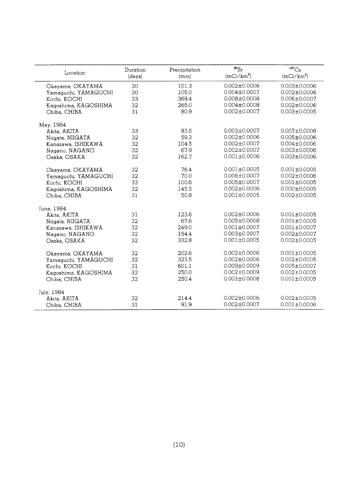| Location             | Duration<br>(days) | Precipitation<br>(mm) | $^{90}Sr$<br>$(mCi/km^2)$ | 137C <sub>S</sub><br>$(mCi/km^2)$ |
|----------------------|--------------------|-----------------------|---------------------------|-----------------------------------|
| Okayama, OKAYAMA     | 30                 | 101.3                 | $0.002 \pm 0.0006$        | $0.003 \pm 0.0006$                |
| Yamaguchi, YAMAGUCHI | 30                 | 105.0                 | $0.004 \pm 0.0007$        | $0.002 \pm 0.0006$                |
| Kochi, KOCHI         | 33                 | 369.4                 | $0.008 + 0.0008$          | $0.006 \pm 0.0007$                |
| Kagoshima, KAGOSHIMA | 32                 | 265.0                 | $0.004 \pm 0.0008$        | $0.002 \pm 0.0006$                |
| Chiba, CHIBA         | 31                 | 80.9                  | $0.002 \pm 0.0007$        | $0.003 \pm 0.0005$                |
| May, 1984            |                    |                       |                           |                                   |
| Akita, AKITA         | 33                 | 93.5                  | $0.003 \pm 0.0007$        | $0.007 \pm 0.0008$                |
| Niigata, NIIGATA     | 32                 | 59.3                  | $0.002 \pm 0.0006$        | $0.005 \pm 0.0006$                |
| Kanazawa, ISHIKAWA   | 32                 | 104.5                 | $0.002 \pm 0.0007$        | $0.004 \pm 0.0006$                |
| Nagano, NAGANO       | 32                 | 67.9                  | $0.002 \pm 0.0007$        | $0.003 \pm 0.0006$                |
| Osaka, OSAKA         | 32                 | 162.7                 | $0.001 \pm 0.0006$        | $0.003 \pm 0.0006$                |
| Okayama, OKAYAMA     | 32                 | 76.4                  | $0.001 \pm 0.0005$        | $0.001 \pm 0.0005$                |
| Yamaguchi, YAMAGUCHI | 32                 | 70.0                  | $0.006 \pm 0.0007$        | $0.002 \pm 0.0006$                |
| Kochi, KOCHI         | 33                 | 100.6                 | $0.005 \pm 0.0007$        | $0.001 \pm 0.0005$                |
| Kagoshima, KAGOSHIMA | 32                 | 145.5                 | $0.002 \pm 0.0006$        | $0.000 \pm 0.0005$                |
| Chiba, CHIBA         | 31                 | 50.8                  | $0.001 \pm 0.0005$        | $0.002 \pm 0.0005$                |
| June, 1984           |                    |                       |                           |                                   |
| Akita, AKITA         | 31                 | 123.6                 | $0.002 \pm 0.0006$        | $0.001 + 0.0005$                  |
| Niigata, NIIGATA     | 32                 | 67.6                  | $0.005 \pm 0.0008$        | $0.001 + 0.0005$                  |
| Kanazawa, ISHIKAWA   | 32                 | 249.0                 | $0.001 \pm 0.0007$        | $0.001 \pm 0.0007$                |
| Nagano, NAGANO       | 32                 | 154.4                 | $0.003 \pm 0.0007$        | $0.002 \pm 0.0007$                |
| Osaka, OSAKA         | 32                 | 332.8                 | $0.001 \pm 0.0005$        | $0.002 \pm 0.0005$                |
| Okayama, OKAYAMA     | 32                 | 202.6                 | $0.002 \pm 0.0006$        | $0.001 \pm 0.0005$                |
| Yamaguchi, YAMAGUCHI | 32                 | 323.5                 | $0.002 \pm 0.0006$        | $0.002 \pm 0.0005$                |
| Kochi, KOCHI         | 31                 | 601.1                 | $0.009 \pm 0.0009$        | $0.005 \pm 0.0007$                |
| Kagoshima, KAGOSHIMA | 32                 | 250.0                 | $0.002 \pm 0.0009$        | $0.002 \pm 0.0005$                |
| Chiba, CHIBA         | 32                 | 250.4                 | $0.003 \pm 0.0008$        | $0.001 \pm 0.0005$                |
| July, 1984           |                    |                       |                           |                                   |
| Akita, AKITA         | 32                 | 214.4                 | $0.002 \pm 0.0006$        | $0.002 \pm 0.0005$                |
| Chiba, CHIBA         | 31                 | 91.9                  | $0.002 \pm 0.0007$        | $0.001 \pm 0.0006$                |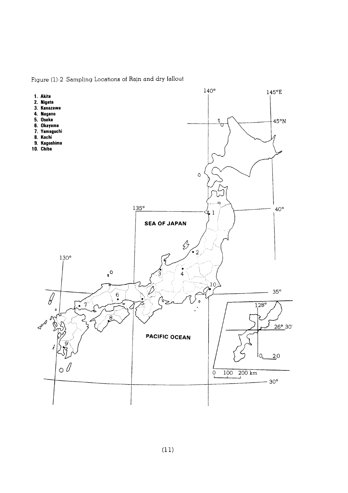Figure (1)-2 Sampling Locations of Rain and dry fallout

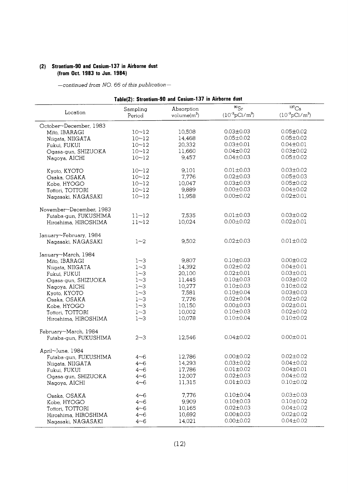#### (2) Strontium-90 and Cesium-137 in Airborne dust (from Oct. 1983 to Jun. 1984)

| Table(2): Strontium-90 and Cesium-137 in Airborne dust |                    |                              |                                         |                                        |  |  |
|--------------------------------------------------------|--------------------|------------------------------|-----------------------------------------|----------------------------------------|--|--|
| Location                                               | Sampling<br>Period | Absorption<br>volume $(m^3)$ | $^{90}Sr$<br>$(10^{-3} \text{pCi/m}^3)$ | $137C_S$<br>$(10^{-3} \text{pCi/m}^3)$ |  |  |
| October~December, 1983                                 |                    |                              |                                         |                                        |  |  |
| Mito, IBARAGI                                          | $10 - 12$          | 10,508                       | $0.03 \pm 0.03$                         | $0.05 \pm 0.02$                        |  |  |
| Niigata, NIIGATA                                       | $10 - 12$          | 14,468                       | $0.05 \pm 0.02$                         | $0.05 \pm 0.02$                        |  |  |
| Fukui, FUKUI                                           | $10 - 12$          | 20,332                       | $0.03 \pm 0.01$                         | $0.04 \pm 0.01$                        |  |  |
|                                                        | $10 - 12$          | 11,660                       | $0.04 \pm 0.02$                         | $0.03 \pm 0.02$                        |  |  |
| Ogasa-gun, SHIZUOKA                                    | $10 - 12$          | 9,457                        | $0.04 \pm 0.03$                         | $0.05 \pm 0.02$                        |  |  |
| Nagoya, AICHI                                          |                    |                              |                                         |                                        |  |  |
| Kyoto, KYOTO                                           | $10 - 12$          | 9,101                        | $0.01 \pm 0.03$                         | $0.03 \pm 0.02$                        |  |  |
| Osaka, OSAKA                                           | $10 - 12$          | 7,776                        | $0.02 \pm 0.03$                         | $0.05 \pm 0.03$                        |  |  |
| Kobe, HYOGO                                            | $10 - 12$          | 10,047                       | $0.03 \pm 0.03$                         | $0.05 \pm 0.02$                        |  |  |
| Tottori, TOTTORI                                       | $10 - 12$          | 9,889                        | $0.00 \pm 0.03$                         | $0.04 \pm 0.02$                        |  |  |
|                                                        | $10 - 12$          | 11,958                       | $0.00 \pm 0.02$                         | $0.02 \pm 0.01$                        |  |  |
| Nagasaki, NAGASAKI                                     |                    |                              |                                         |                                        |  |  |
| November~December, 1983                                |                    |                              |                                         |                                        |  |  |
| Futaba-gun, FUKUSHIMA                                  | $11 - 12$          | 7,535                        | $0.01 \pm 0.03$                         | $0.03 \pm 0.02$                        |  |  |
| Hiroshima, HIROSHIMA                                   | $11 - 12$          | 10,024                       | $0.00 \pm 0.02$                         | $0.02 \pm 0.01$                        |  |  |
|                                                        |                    |                              |                                         |                                        |  |  |
| January~February, 1984                                 |                    |                              |                                         |                                        |  |  |
| Nagasaki, NAGASAKI                                     | $1 - 2$            | 9,502                        | $0.02 \pm 0.03$                         | $0.01 \pm 0.02$                        |  |  |
| January~March, 1984                                    |                    |                              |                                         |                                        |  |  |
| Mito, IBARAGI                                          | $1 - 3$            | 9,807                        | $0.10 \pm 0.03$                         | $0.00 \pm 0.02$                        |  |  |
|                                                        | $1 - 3$            | 14,392                       | $0.02 \pm 0.02$                         | $0.04 \pm 0.01$                        |  |  |
| Niigata, NIIGATA                                       |                    |                              |                                         |                                        |  |  |
| Fukui, FUKUI                                           | $1 - 3$            | 20,100                       | $0.02 \pm 0.01$                         | $0.03 \pm 0.01$                        |  |  |
| Ogasa-gun, SHIZUOKA                                    | $1 - 3$            | 11,445                       | $0.10 \pm 0.03$                         | $0.03 \pm 0.02$                        |  |  |
| Nagoya, AICHI                                          | $1 - 3$            | 10,277                       | $0.10 \pm 0.03$                         | $0.10 \pm 0.02$                        |  |  |
| Kyoto, KYOTO                                           | $1 - 3$            | 7,581                        | $0.10 \pm 0.04$                         | $0.03 \pm 0.03$                        |  |  |
| Osaka, OSAKA                                           | $1 - 3$            | 7,776                        | $0.02 \pm 0.04$                         | $0.02 \pm 0.02$                        |  |  |
| Kobe, HYOGO                                            | $1 - 3$            | 10,150                       | $0.00 \pm 0.03$                         | $0.02 \pm 0.01$                        |  |  |
| Tottori, TOTTORI                                       | $1 - 3$            | 10,002                       | $0.10 \pm 0.03$                         | $0.02 \pm 0.02$                        |  |  |
| Hiroshima, HIROSHIMA                                   | $1 - 3$            | 10,078                       | $0.10 \pm 0.04$                         | $0.10 \pm 0.02$                        |  |  |
|                                                        |                    |                              |                                         |                                        |  |  |
| February~March, 1984                                   |                    |                              |                                         |                                        |  |  |
| Futaba-gun, FUKUSHIMA                                  | $2 - 3$            | 12,546                       | $0.04 \pm 0.02$                         | $0.00 \pm 0.01$                        |  |  |
| April~June, 1984                                       |                    |                              |                                         |                                        |  |  |
| Futaba-gun, FUKUSHIMA                                  | 4~6                | 12,786                       | $0.00 \pm 0.02$                         | $0.02 \pm 0.02$                        |  |  |
| Niigata, NIIGATA                                       | $4 - 6$            | 14,293                       | $0.03 \pm 0.02$                         | $0.04 \pm 0.02$                        |  |  |
| Fukui, FUKUI                                           | $4 - 6$            | 17,786                       | $0.01 \pm 0.02$                         | $0.04 \pm 0.01$                        |  |  |
|                                                        |                    | 12,007                       | $0.02 \pm 0.03$                         | $0.04 \pm 0.02$                        |  |  |
| Ogasa-gun, SHIZUOKA                                    | $4 - 6$            |                              |                                         |                                        |  |  |
| Nagoya, AICHI                                          | $4 - 6$            | 11,315                       | $0.01 \pm 0.03$                         | $0.10 \pm 0.02$                        |  |  |
| Osaka, OSAKA                                           | $4 - 6$            | 7,776                        | $0.10 \pm 0.04$                         | $0.03 \pm 0.03$                        |  |  |
| Kobe, HYOGO                                            | $4 - 6$            | 9,909                        | $0.10 \pm 0.03$                         | $0.10 \pm 0.02$                        |  |  |
| Tottori, TOTTORI                                       | $4 - 6$            | 10,165                       | $0.02 \pm 0.03$                         | $0.04 \pm 0.02$                        |  |  |
| Hiroshima, HIROSHIMA                                   | $4 - 6$            | 10,692                       | $0.00 \pm 0.03$                         | $0.02 \pm 0.02$                        |  |  |
|                                                        |                    | 14,021                       | $0.00 \pm 0.02$                         | $0.04 \pm 0.02$                        |  |  |
| Nagasaki, NAGASAKI                                     | $4 - 6$            |                              |                                         |                                        |  |  |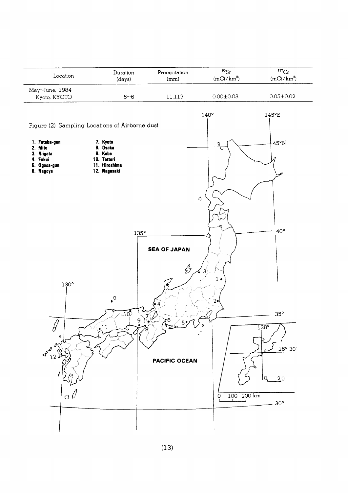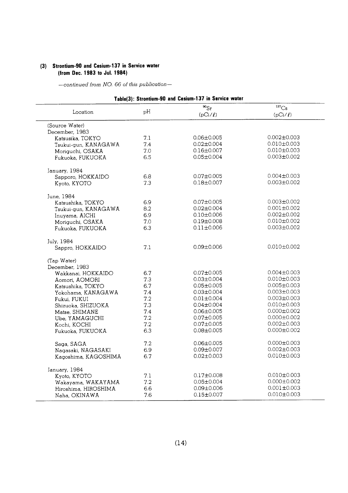## (3) Strontium-90 and Cesium-137 in Service water (from Dec. 1983 to Jul. 1984)

|                      |     | Table(3): Strontium-90 and Cesium-137 in Service water<br>$^{90}Sr$ | $^{137}Cs$        |
|----------------------|-----|---------------------------------------------------------------------|-------------------|
| Location             | pH  | $(pCi/\ell)$                                                        | $(pCi/\ell)$      |
|                      |     |                                                                     |                   |
| (Source Water)       |     |                                                                     |                   |
| December, 1983       |     |                                                                     |                   |
| Katsusika, TOKYO     | 7.1 | $0.06 \pm 0.005$                                                    | $0.002 \pm 0.003$ |
| Tsukui-gun, KANAGAWA | 7.4 | $0.02 \pm 0.004$                                                    | $0.010 \pm 0.003$ |
| Moriguchi, OSAKA     | 7.0 | $0.16 \pm 0.007$                                                    | $0.010 \pm 0.003$ |
| Fukuoka, FUKUOKA     | 6.5 | $0.05 \pm 0.004$                                                    | $0.003 \pm 0.002$ |
| January, 1984        |     |                                                                     |                   |
| Sapporo, HOKKAIDO    | 6.8 | $0.07 \pm 0.005$                                                    | $0.004 \pm 0.003$ |
| Kyoto, KYOTO         | 7.3 | $0.18 \pm 0.007$                                                    | $0.003 \pm 0.002$ |
| June, 1984           |     |                                                                     |                   |
| Katsushika, TOKYO    | 6.9 | $0.07 \pm 0.005$                                                    | $0.003 \pm 0.002$ |
| Tsukui-gun, KANAGAWA | 8.2 | $0.02 \pm 0.004$                                                    | $0.001 \pm 0.002$ |
| Inuyama, AICHI       | 6.9 | $0.10 \pm 0.006$                                                    | $0.002 \pm 0.002$ |
| Moriguchi, OSAKA     | 7.0 | $0.19 \pm 0.008$                                                    | $0.010 \pm 0.002$ |
| Fukuoka, FUKUOKA     | 6.3 | $0.11 \pm 0.006$                                                    | $0.003 \pm 0.002$ |
| July, 1984           |     |                                                                     |                   |
| Sappro, HOKKAIDO     | 7.1 | $0.09 \pm 0.006$                                                    | $0.010 \pm 0.002$ |
|                      |     |                                                                     |                   |
| (Tap Water)          |     |                                                                     |                   |
| December, 1983       |     |                                                                     |                   |
| Wakkanai, HOKKAIDO   | 6.7 | $0.07 \pm 0.005$                                                    | $0.004 \pm 0.003$ |
| Aomori, AOMORI       | 7.3 | $0.03 \pm 0.004$                                                    | $0.010 \pm 0.003$ |
| Katsushika, TOKYO    | 6.7 | $0.05 \pm 0.005$                                                    | $0.005 \pm 0.003$ |
| Yokohama, KANAGAWA   | 7.4 | $0.03 \pm 0.004$                                                    | $0.003 \pm 0.003$ |
| Fukui, FUKUI         | 7.2 | $0.01 \pm 0.004$                                                    | $0.003 \pm 0.003$ |
| Shizuoka, SHIZUOKA   | 7.3 | $0.04 \pm 0.004$                                                    | $0.010 \pm 0.003$ |
| Matse, SHIMANE       | 74  | $0.06 \pm 0.005$                                                    | $0.000 \pm 0.002$ |
| Ube, YAMAGUCHI       | 7.2 | $0.07 \pm 0.005$                                                    | $0.000 \pm 0.002$ |
| Kochi, KOCHI         | 7.2 | $0.07 \pm 0.005$                                                    | $0.002 \pm 0.003$ |
| Fukuoka, FUKUOKA     | 6.3 | $0.08 \pm 0.005$                                                    | $0.000 \pm 0.002$ |
| Saga, SAGA           | 7.2 | $0.06 \pm 0.005$                                                    | $0.000 \pm 0.003$ |
| Nagasaki, NAGASAKI   | 6.9 | $0.09 \pm 0.007$                                                    | $0.002 \pm 0.003$ |
| Kagoshima, KAGOSHIMA | 6.7 | $0.02 \pm 0.003$                                                    | $0.010 \pm 0.003$ |
| January, 1984        |     |                                                                     |                   |
| Kyoto, KYOTO         | 7.1 | $0.17 \pm 0.008$                                                    | $0.010 \pm 0.003$ |
| Wakayama, WAKAYAMA   | 7.2 | $0.05 \pm 0.004$                                                    | $0.000 \pm 0.002$ |
| Hiroshima, HIROSHIMA | 6.6 | $0.09 \pm 0.006$                                                    | $0.001 \pm 0.003$ |
| Naha, OKINAWA        | 7.6 | $0.15 \pm 0.007$                                                    | $0.010 \pm 0.003$ |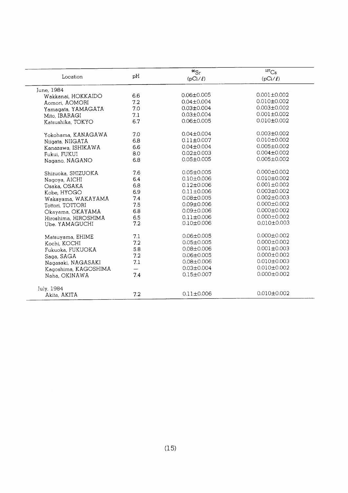| Location             | pH  | $^{90}Sr$<br>$(pCi/\ell)$ | ${}^{137}Cs$<br>$(pCi/\ell)$ |
|----------------------|-----|---------------------------|------------------------------|
| June, 1984           |     |                           |                              |
| Wakkanai, HOKKAIDO   | 6.6 | $0.06 \pm 0.005$          | $0.001 \pm 0.002$            |
| Aomori, AOMORI       | 7.2 | $0.04 \pm 0.004$          | $0.010 \pm 0.002$            |
| Yamagata, YAMAGATA   | 7.0 | $0.03 \pm 0.004$          | $0.003 + 0.002$              |
| Mito, IBARAGI        | 7.1 | $0.03 \pm 0.004$          | $0.001 \pm 0.002$            |
| Katsushika, TOKYO    | 6.7 | $0.06 \pm 0.005$          | $0.010 \pm 0.002$            |
| Yokohama, KANAGAWA   | 7.0 | $0.04 \pm 0.004$          | $0.003 \pm 0.002$            |
| Niigata, NIIGATA     | 6.8 | $0.11 \pm 0.007$          | $0.010 + 0.002$              |
| Kanazawa, ISHIKAWA   | 6.6 | $0.04 \pm 0.004$          | $0.005 \pm 0.002$            |
| Fukui, FUKUI         | 8.0 | $0.02 \pm 0.003$          | $0.004 \pm 0.002$            |
| Nagano, NAGANO       | 6.8 | $0.05 \pm 0.005$          | $0.005 \pm 0.002$            |
| Shizuoka, SHIZUOKA   | 7.6 | $0.05 \pm 0.005$          | $0.000 \pm 0.002$            |
| Nagoya, AICHI        | 6.4 | $0.10 \pm 0.006$          | $0.010 \pm 0.002$            |
| Osaka, OSAKA         | 6.8 | $0.12 \pm 0.006$          | $0.001 + 0.002$              |
| Kobe, HYOGO          | 6.9 | $0.11 \pm 0.006$          | $0.003 \pm 0.002$            |
| Wakayama, WAKAYAMA   | 7.4 | $0.08 \pm 0.005$          | $0.002 \pm 0.003$            |
| Tottori, TOTTORI     | 7.5 | $0.09 \pm 0.006$          | $0.000 \pm 0.002$            |
| Okayama, OKAYAMA     | 6.8 | $0.09 \pm 0.006$          | $0.000 \pm 0.002$            |
| Hiroshima, HIROSHIMA | 6.5 | $0.11 \pm 0.006$          | $0.000 + 0.002$              |
| Ube. YAMAGUCHI       | 7.2 | $0.10 \pm 0.006$          | $0.010 \pm 0.003$            |
| Matsuyama, EHIME     | 7.1 | $0.06 \pm 0.005$          | $0.000 \pm 0.002$            |
| Kochi, KOCHI         | 7.2 | $0.05 \pm 0.005$          | $0.000 \pm 0.002$            |
| Fukuoka, FUKUOKA     | 5.8 | $0.08 + 0.006$            | $0.001 \pm 0.003$            |
| Saga, SAGA           | 7.2 | $0.06 \pm 0.005$          | $0.000 \pm 0.002$            |
| Nagasaki, NAGASAKI   | 7.1 | $0.08 + 0.006$            | $0.010 + 0.003$              |
| Kagoshima, KAGOSHIMA |     | $0.03 \pm 0.004$          | $0.010 \pm 0.002$            |
| Naha, OKINAWA        | 7.4 | $0.15 \pm 0.007$          | $0.000 \pm 0.002$            |
| July, 1984           |     |                           |                              |
| Akita, AKITA         | 7.2 | $0.11 \pm 0.006$          | $0.010 \pm 0.002$            |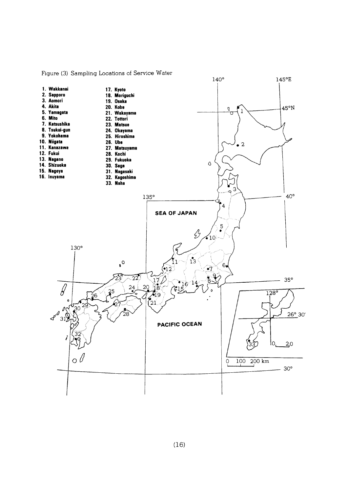

Figure (3) Sampling Locations of Service Water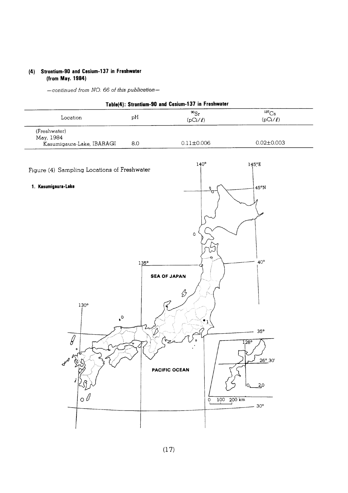#### (4) Strontium-90 and Cesium-137 in Freshwater (from May. 1984)

| Table(4): Strontium-90 and Cesium-137 in Freshwater    |     |                           |                                                |  |  |  |
|--------------------------------------------------------|-----|---------------------------|------------------------------------------------|--|--|--|
| Location                                               | pH  | $^{90}Sr$<br>$(pCi/\ell)$ | $^{137}Cs$<br>$(pCi/\ell)$<br>$0.02 \pm 0.003$ |  |  |  |
| (Freshwater)<br>May, 1984<br>Kasumigaura-Lake, IBARAGI | 8.0 | $0.11 \pm 0.006$          |                                                |  |  |  |
| Figure (4) Sampling Locations of Freshwater            |     | $140^\circ$               | $145^{\circ}E$                                 |  |  |  |
| Kasumigaura-Lake                                       |     |                           | 45°N                                           |  |  |  |

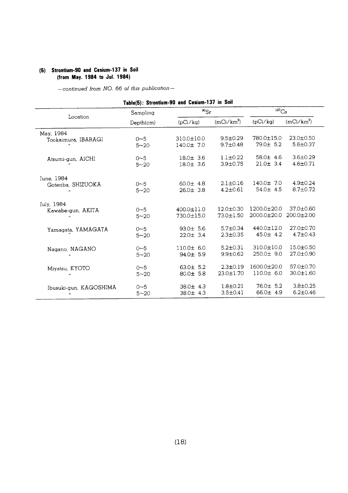#### (5) Strontium-90 and Cesium-137 in Soil (from May. 1984 to Jul. 1984)

-continued from NO. 66 of this publication-

Table(5): Strontium-90 and Cesium-137 in Soil

| Location               | Sampling  |                  | $^{90}Sr$       |                   | 137C <sub>S</sub> |  |
|------------------------|-----------|------------------|-----------------|-------------------|-------------------|--|
|                        | Depth(cm) | (pCi/kg)         | $(mCi/km^2)$    | (pCi/kg)          | $(mCi/km^2)$      |  |
| May, 1984              | $0 - 5$   | $310.0 \pm 10.0$ | $9.5 \pm 0.29$  | 780.0±15.0        | $23.0 \pm 0.50$   |  |
| Tookaimura, IBARAGI    | $5 - 20$  | $140.0 \pm 7.0$  | $9.7 \pm 0.48$  | $79.0 \pm 5.2$    | $5.6 \pm 0.37$    |  |
| Atsumi-gun, AICHI      | $0 - 5$   | $18.0 \pm 3.6$   | $1.1 \pm 0.22$  | 58.0 $\pm$ 4.6    | $3.6 \pm 0.29$    |  |
|                        | $5 - 20$  | $18.0 \pm 3.6$   | $3.9 \pm 0.75$  | $21.0 \pm 3.4$    | $4.6 \pm 0.71$    |  |
| June, 1984             | $0 - 5$   | 60.0 $\pm$ 4.8   | $2.1 \pm 0.16$  | $140.0 \pm 7.0$   | $4.9 \pm 0.24$    |  |
| Gotenba, SHIZUOKA      | $5 - 20$  | $26.0 \pm 3.8$   | $4.2 \pm 0.61$  | $54.0 \pm 4.5$    | $8.7 \pm 0.72$    |  |
| July, 1984             | $0 - 5$   | $400.0 \pm 11.0$ | $12.0 \pm 0.30$ | $1200.0 \pm 20.0$ | $37.0 \pm 0.60$   |  |
| Kawabe-gun, AKITA      | $5 - 20$  | 730.0±15.0       | 73.0±1.50       | 2000.0±20.0       | $200.0 \pm 2.00$  |  |
| Yamagata, YAMAGATA     | $0 - 5$   | $93.0 \pm 5.6$   | $5.7 \pm 0.34$  | 440.0±12.0        | $27.0 \pm 0.70$   |  |
|                        | $5 - 20$  | $22.0 \pm 3.4$   | $2.3 \pm 0.35$  | $45.0 \pm 4.2$    | $4.7 \pm 0.43$    |  |
| Nagano, NAGANO         | $0 - 5$   | 110.0± 6.0       | $5.2 \pm 0.31$  | $310.0 \pm 10.0$  | 15.0±0.50         |  |
| $^{\prime\prime}$      | $5 - 20$  | $94.0 \pm 5.9$   | $9.9 \pm 0.62$  | $250.0 \pm 9.0$   | 27.0±0.90         |  |
| Miyatsu, KYOTO         | $0 - 5$   | 63.0 $\pm$ 5.2   | $2.3 \pm 0.19$  | 1600.0±20.0       | 57.0±0.70         |  |
|                        | $5 - 20$  | $80.0 \pm 5.8$   | $23.0 \pm 1.70$ | 110.0± 6.0        | $30.0 \pm 1.60$   |  |
| Ibusuki-qun, KAGOSHIMA | $0 - 5$   | $38.0 \pm 4.3$   | $1.8 \pm 0.21$  | $76.0 \pm 5.2$    | $3.8 \pm 0.25$    |  |
|                        | $5 - 20$  | $38.0 \pm 4.3$   | $3.5 \pm 0.41$  | $66.0 \pm 4.9$    | $6.2 \pm 0.46$    |  |